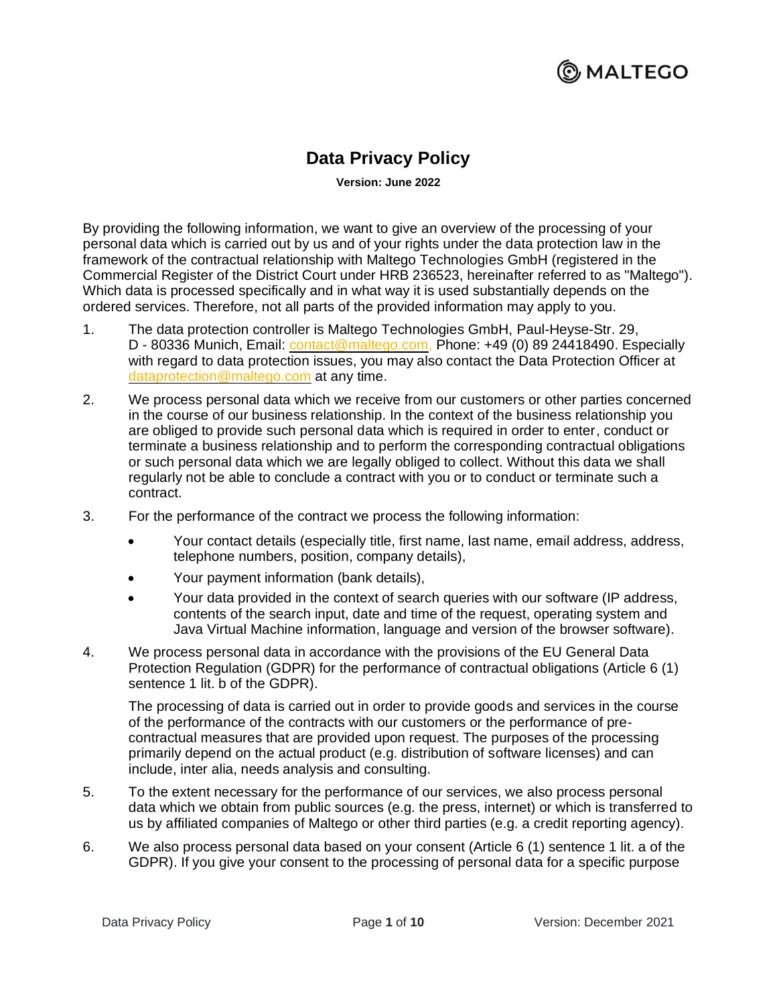#### <u>ြ)</u> MALTEGO

#### **Data Privacy Policy**

**Version: June 2022**

By providing the following information, we want to give an overview of the processing of your personal data which is carried out by us and of your rights under the data protection law in the framework of the contractual relationship with Maltego Technologies GmbH (registered in the Commercial Register of the District Court under HRB 236523, hereinafter referred to as "Maltego"). Which data is processed specifically and in what way it is used substantially depends on the ordered services. Therefore, not all parts of the provided information may apply to you.

- 1. The data protection controller is Maltego Technologies GmbH, Paul-Heyse-Str. 29, D - 80336 Munich, Email: [contact@maltego.com,](mailto:contact@maltego.com) Phone: +49 (0) 89 24418490. Especially with regard to data protection issues, you may also contact the Data Protection Officer at [dataprotection@maltego.com](mailto:contact@maltego.com) at any time.
- 2. We process personal data which we receive from our customers or other parties concerned in the course of our business relationship. In the context of the business relationship you are obliged to provide such personal data which is required in order to enter, conduct or terminate a business relationship and to perform the corresponding contractual obligations or such personal data which we are legally obliged to collect. Without this data we shall regularly not be able to conclude a contract with you or to conduct or terminate such a contract.
- 3. For the performance of the contract we process the following information:
	- Your contact details (especially title, first name, last name, email address, address, telephone numbers, position, company details),
	- Your payment information (bank details),
	- Your data provided in the context of search queries with our software (IP address, contents of the search input, date and time of the request, operating system and Java Virtual Machine information, language and version of the browser software).
- 4. We process personal data in accordance with the provisions of the EU General Data Protection Regulation (GDPR) for the performance of contractual obligations (Article 6 (1) sentence 1 lit. b of the GDPR).

The processing of data is carried out in order to provide goods and services in the course of the performance of the contracts with our customers or the performance of precontractual measures that are provided upon request. The purposes of the processing primarily depend on the actual product (e.g. distribution of software licenses) and can include, inter alia, needs analysis and consulting.

- 5. To the extent necessary for the performance of our services, we also process personal data which we obtain from public sources (e.g. the press, internet) or which is transferred to us by affiliated companies of Maltego or other third parties (e.g. a credit reporting agency).
- 6. We also process personal data based on your consent (Article 6 (1) sentence 1 lit. a of the GDPR). If you give your consent to the processing of personal data for a specific purpose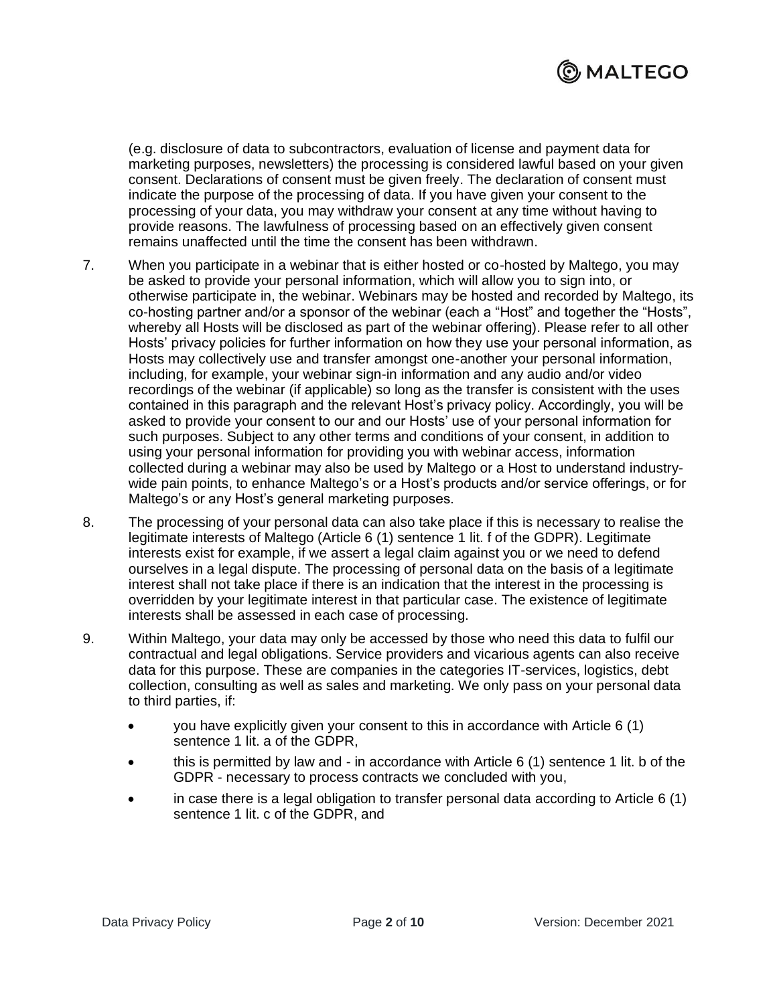

(e.g. disclosure of data to subcontractors, evaluation of license and payment data for marketing purposes, newsletters) the processing is considered lawful based on your given consent. Declarations of consent must be given freely. The declaration of consent must indicate the purpose of the processing of data. If you have given your consent to the processing of your data, you may withdraw your consent at any time without having to provide reasons. The lawfulness of processing based on an effectively given consent remains unaffected until the time the consent has been withdrawn.

- 7. When you participate in a webinar that is either hosted or co-hosted by Maltego, you may be asked to provide your personal information, which will allow you to sign into, or otherwise participate in, the webinar. Webinars may be hosted and recorded by Maltego, its co-hosting partner and/or a sponsor of the webinar (each a "Host" and together the "Hosts", whereby all Hosts will be disclosed as part of the webinar offering). Please refer to all other Hosts' privacy policies for further information on how they use your personal information, as Hosts may collectively use and transfer amongst one-another your personal information, including, for example, your webinar sign-in information and any audio and/or video recordings of the webinar (if applicable) so long as the transfer is consistent with the uses contained in this paragraph and the relevant Host's privacy policy. Accordingly, you will be asked to provide your consent to our and our Hosts' use of your personal information for such purposes. Subject to any other terms and conditions of your consent, in addition to using your personal information for providing you with webinar access, information collected during a webinar may also be used by Maltego or a Host to understand industrywide pain points, to enhance Maltego's or a Host's products and/or service offerings, or for Maltego's or any Host's general marketing purposes.
- 8. The processing of your personal data can also take place if this is necessary to realise the legitimate interests of Maltego (Article 6 (1) sentence 1 lit. f of the GDPR). Legitimate interests exist for example, if we assert a legal claim against you or we need to defend ourselves in a legal dispute. The processing of personal data on the basis of a legitimate interest shall not take place if there is an indication that the interest in the processing is overridden by your legitimate interest in that particular case. The existence of legitimate interests shall be assessed in each case of processing.
- 9. Within Maltego, your data may only be accessed by those who need this data to fulfil our contractual and legal obligations. Service providers and vicarious agents can also receive data for this purpose. These are companies in the categories IT-services, logistics, debt collection, consulting as well as sales and marketing. We only pass on your personal data to third parties, if:
	- you have explicitly given your consent to this in accordance with Article 6 (1) sentence 1 lit. a of the GDPR,
	- this is permitted by law and in accordance with Article 6 (1) sentence 1 lit. b of the GDPR - necessary to process contracts we concluded with you,
	- in case there is a legal obligation to transfer personal data according to Article 6 (1) sentence 1 lit. c of the GDPR, and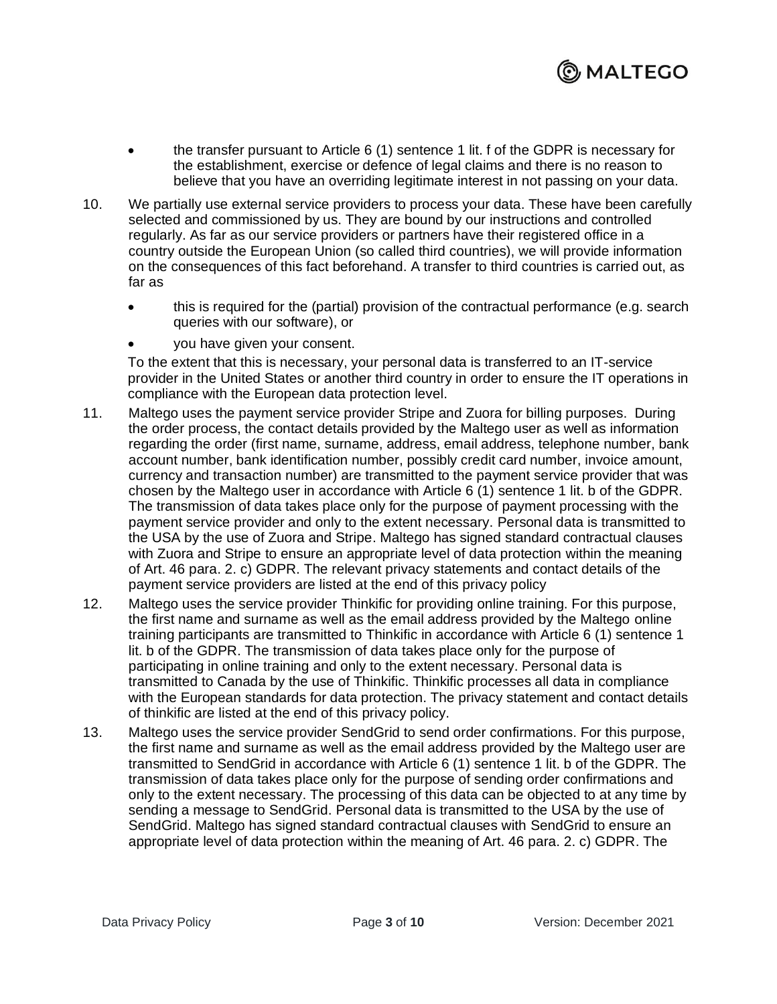

- the transfer pursuant to Article 6 (1) sentence 1 lit. f of the GDPR is necessary for the establishment, exercise or defence of legal claims and there is no reason to believe that you have an overriding legitimate interest in not passing on your data.
- 10. We partially use external service providers to process your data. These have been carefully selected and commissioned by us. They are bound by our instructions and controlled regularly. As far as our service providers or partners have their registered office in a country outside the European Union (so called third countries), we will provide information on the consequences of this fact beforehand. A transfer to third countries is carried out, as far as
	- this is required for the (partial) provision of the contractual performance (e.g. search queries with our software), or
	- you have given your consent.

To the extent that this is necessary, your personal data is transferred to an IT-service provider in the United States or another third country in order to ensure the IT operations in compliance with the European data protection level.

- 11. Maltego uses the payment service provider Stripe and Zuora for billing purposes. During the order process, the contact details provided by the Maltego user as well as information regarding the order (first name, surname, address, email address, telephone number, bank account number, bank identification number, possibly credit card number, invoice amount, currency and transaction number) are transmitted to the payment service provider that was chosen by the Maltego user in accordance with Article 6 (1) sentence 1 lit. b of the GDPR. The transmission of data takes place only for the purpose of payment processing with the payment service provider and only to the extent necessary. Personal data is transmitted to the USA by the use of Zuora and Stripe. Maltego has signed standard contractual clauses with Zuora and Stripe to ensure an appropriate level of data protection within the meaning of Art. 46 para. 2. c) GDPR. The relevant privacy statements and contact details of the payment service providers are listed at the end of this privacy policy
- 12. Maltego uses the service provider Thinkific for providing online training. For this purpose, the first name and surname as well as the email address provided by the Maltego online training participants are transmitted to Thinkific in accordance with Article 6 (1) sentence 1 lit. b of the GDPR. The transmission of data takes place only for the purpose of participating in online training and only to the extent necessary. Personal data is transmitted to Canada by the use of Thinkific. Thinkific processes all data in compliance with the European standards for data protection. The privacy statement and contact details of thinkific are listed at the end of this privacy policy.
- 13. Maltego uses the service provider SendGrid to send order confirmations. For this purpose, the first name and surname as well as the email address provided by the Maltego user are transmitted to SendGrid in accordance with Article 6 (1) sentence 1 lit. b of the GDPR. The transmission of data takes place only for the purpose of sending order confirmations and only to the extent necessary. The processing of this data can be objected to at any time by sending a message to SendGrid. Personal data is transmitted to the USA by the use of SendGrid. Maltego has signed standard contractual clauses with SendGrid to ensure an appropriate level of data protection within the meaning of Art. 46 para. 2. c) GDPR. The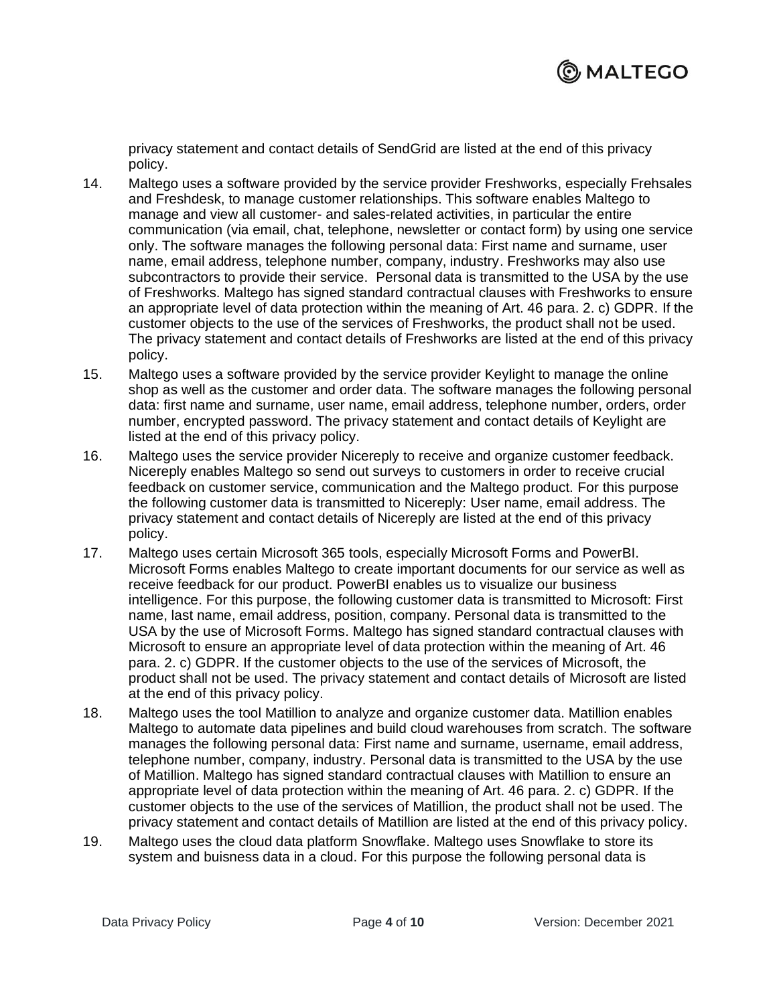

privacy statement and contact details of SendGrid are listed at the end of this privacy policy.

- 14. Maltego uses a software provided by the service provider Freshworks, especially Frehsales and Freshdesk, to manage customer relationships. This software enables Maltego to manage and view all customer- and sales-related activities, in particular the entire communication (via email, chat, telephone, newsletter or contact form) by using one service only. The software manages the following personal data: First name and surname, user name, email address, telephone number, company, industry. Freshworks may also use subcontractors to provide their service. Personal data is transmitted to the USA by the use of Freshworks. Maltego has signed standard contractual clauses with Freshworks to ensure an appropriate level of data protection within the meaning of Art. 46 para. 2. c) GDPR. If the customer objects to the use of the services of Freshworks, the product shall not be used. The privacy statement and contact details of Freshworks are listed at the end of this privacy policy.
- 15. Maltego uses a software provided by the service provider Keylight to manage the online shop as well as the customer and order data. The software manages the following personal data: first name and surname, user name, email address, telephone number, orders, order number, encrypted password. The privacy statement and contact details of Keylight are listed at the end of this privacy policy.
- 16. Maltego uses the service provider Nicereply to receive and organize customer feedback. Nicereply enables Maltego so send out surveys to customers in order to receive crucial feedback on customer service, communication and the Maltego product. For this purpose the following customer data is transmitted to Nicereply: User name, email address. The privacy statement and contact details of Nicereply are listed at the end of this privacy policy.
- 17. Maltego uses certain Microsoft 365 tools, especially Microsoft Forms and PowerBI. Microsoft Forms enables Maltego to create important documents for our service as well as receive feedback for our product. PowerBI enables us to visualize our business intelligence. For this purpose, the following customer data is transmitted to Microsoft: First name, last name, email address, position, company. Personal data is transmitted to the USA by the use of Microsoft Forms. Maltego has signed standard contractual clauses with Microsoft to ensure an appropriate level of data protection within the meaning of Art. 46 para. 2. c) GDPR. If the customer objects to the use of the services of Microsoft, the product shall not be used. The privacy statement and contact details of Microsoft are listed at the end of this privacy policy.
- 18. Maltego uses the tool Matillion to analyze and organize customer data. Matillion enables Maltego to automate data pipelines and build cloud warehouses from scratch. The software manages the following personal data: First name and surname, username, email address, telephone number, company, industry. Personal data is transmitted to the USA by the use of Matillion. Maltego has signed standard contractual clauses with Matillion to ensure an appropriate level of data protection within the meaning of Art. 46 para. 2. c) GDPR. If the customer objects to the use of the services of Matillion, the product shall not be used. The privacy statement and contact details of Matillion are listed at the end of this privacy policy.
- 19. Maltego uses the cloud data platform Snowflake. Maltego uses Snowflake to store its system and buisness data in a cloud. For this purpose the following personal data is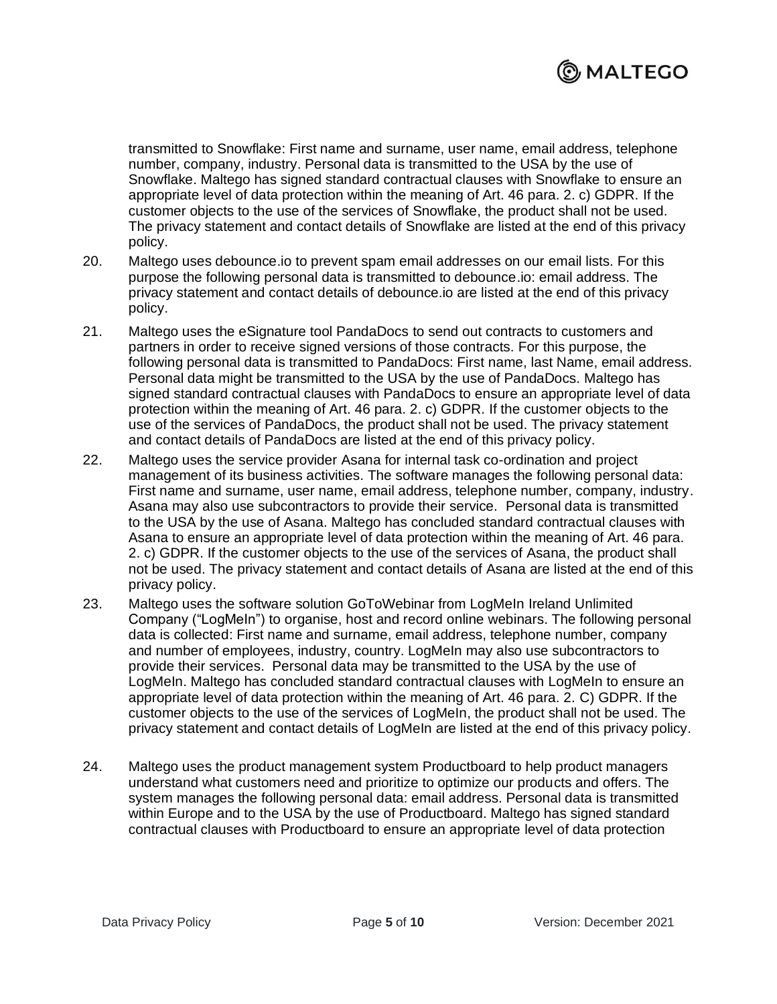

transmitted to Snowflake: First name and surname, user name, email address, telephone number, company, industry. Personal data is transmitted to the USA by the use of Snowflake. Maltego has signed standard contractual clauses with Snowflake to ensure an appropriate level of data protection within the meaning of Art. 46 para. 2. c) GDPR. If the customer objects to the use of the services of Snowflake, the product shall not be used. The privacy statement and contact details of Snowflake are listed at the end of this privacy policy.

- 20. Maltego uses debounce.io to prevent spam email addresses on our email lists. For this purpose the following personal data is transmitted to debounce.io: email address. The privacy statement and contact details of debounce.io are listed at the end of this privacy policy.
- 21. Maltego uses the eSignature tool PandaDocs to send out contracts to customers and partners in order to receive signed versions of those contracts. For this purpose, the following personal data is transmitted to PandaDocs: First name, last Name, email address. Personal data might be transmitted to the USA by the use of PandaDocs. Maltego has signed standard contractual clauses with PandaDocs to ensure an appropriate level of data protection within the meaning of Art. 46 para. 2. c) GDPR. If the customer objects to the use of the services of PandaDocs, the product shall not be used. The privacy statement and contact details of PandaDocs are listed at the end of this privacy policy.
- 22. Maltego uses the service provider Asana for internal task co-ordination and project management of its business activities. The software manages the following personal data: First name and surname, user name, email address, telephone number, company, industry. Asana may also use subcontractors to provide their service. Personal data is transmitted to the USA by the use of Asana. Maltego has concluded standard contractual clauses with Asana to ensure an appropriate level of data protection within the meaning of Art. 46 para. 2. c) GDPR. If the customer objects to the use of the services of Asana, the product shall not be used. The privacy statement and contact details of Asana are listed at the end of this privacy policy.
- 23. Maltego uses the software solution GoToWebinar from LogMeIn Ireland Unlimited Company ("LogMeIn") to organise, host and record online webinars. The following personal data is collected: First name and surname, email address, telephone number, company and number of employees, industry, country. LogMeIn may also use subcontractors to provide their services. Personal data may be transmitted to the USA by the use of LogMeIn. Maltego has concluded standard contractual clauses with LogMeIn to ensure an appropriate level of data protection within the meaning of Art. 46 para. 2. C) GDPR. If the customer objects to the use of the services of LogMeIn, the product shall not be used. The privacy statement and contact details of LogMeIn are listed at the end of this privacy policy.
- 24. Maltego uses the product management system Productboard to help product managers understand what customers need and prioritize to optimize our products and offers. The system manages the following personal data: email address. Personal data is transmitted within Europe and to the USA by the use of Productboard. Maltego has signed standard contractual clauses with Productboard to ensure an appropriate level of data protection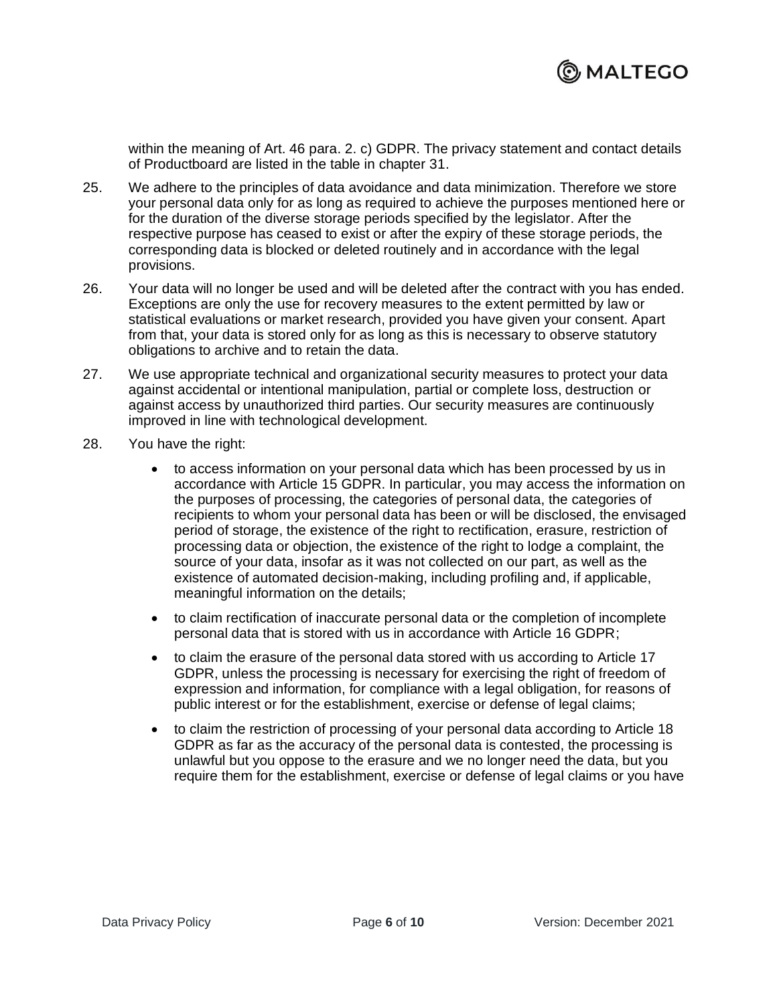

within the meaning of Art. 46 para. 2. c) GDPR. The privacy statement and contact details of Productboard are listed in the table in chapter 31.

- 25. We adhere to the principles of data avoidance and data minimization. Therefore we store your personal data only for as long as required to achieve the purposes mentioned here or for the duration of the diverse storage periods specified by the legislator. After the respective purpose has ceased to exist or after the expiry of these storage periods, the corresponding data is blocked or deleted routinely and in accordance with the legal provisions.
- 26. Your data will no longer be used and will be deleted after the contract with you has ended. Exceptions are only the use for recovery measures to the extent permitted by law or statistical evaluations or market research, provided you have given your consent. Apart from that, your data is stored only for as long as this is necessary to observe statutory obligations to archive and to retain the data.
- 27. We use appropriate technical and organizational security measures to protect your data against accidental or intentional manipulation, partial or complete loss, destruction or against access by unauthorized third parties. Our security measures are continuously improved in line with technological development.
- 28. You have the right:
	- to access information on your personal data which has been processed by us in accordance with Article 15 GDPR. In particular, you may access the information on the purposes of processing, the categories of personal data, the categories of recipients to whom your personal data has been or will be disclosed, the envisaged period of storage, the existence of the right to rectification, erasure, restriction of processing data or objection, the existence of the right to lodge a complaint, the source of your data, insofar as it was not collected on our part, as well as the existence of automated decision-making, including profiling and, if applicable, meaningful information on the details;
	- to claim rectification of inaccurate personal data or the completion of incomplete personal data that is stored with us in accordance with Article 16 GDPR;
	- to claim the erasure of the personal data stored with us according to Article 17 GDPR, unless the processing is necessary for exercising the right of freedom of expression and information, for compliance with a legal obligation, for reasons of public interest or for the establishment, exercise or defense of legal claims;
	- to claim the restriction of processing of your personal data according to Article 18 GDPR as far as the accuracy of the personal data is contested, the processing is unlawful but you oppose to the erasure and we no longer need the data, but you require them for the establishment, exercise or defense of legal claims or you have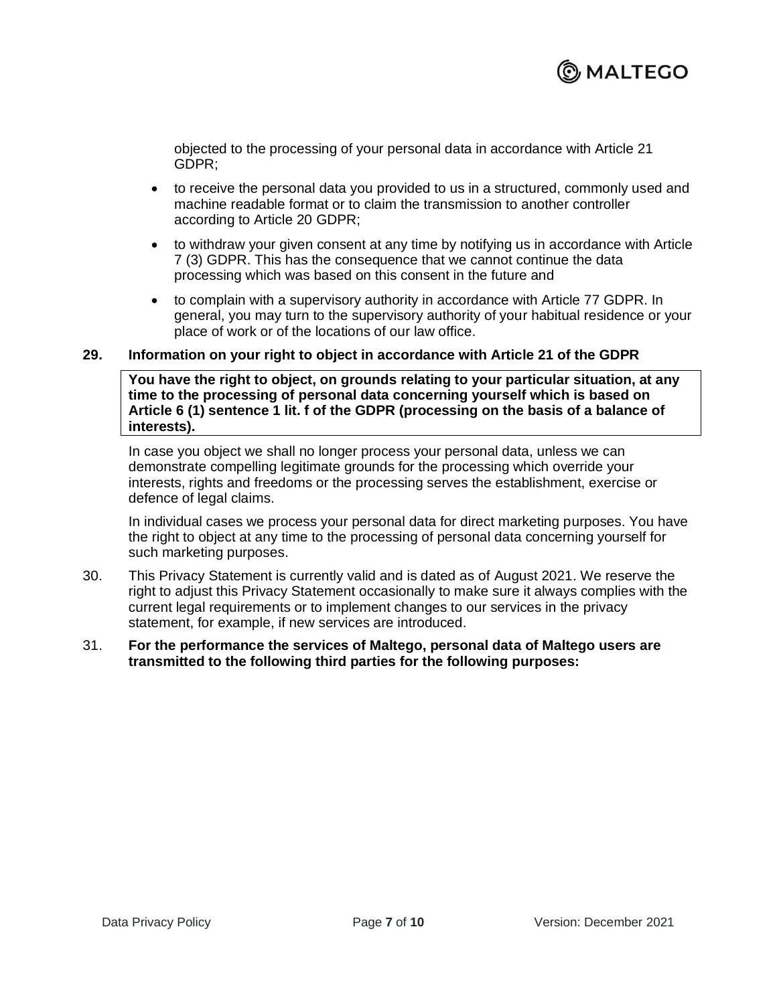

objected to the processing of your personal data in accordance with Article 21 GDPR;

- to receive the personal data you provided to us in a structured, commonly used and machine readable format or to claim the transmission to another controller according to Article 20 GDPR;
- to withdraw your given consent at any time by notifying us in accordance with Article 7 (3) GDPR. This has the consequence that we cannot continue the data processing which was based on this consent in the future and
- to complain with a supervisory authority in accordance with Article 77 GDPR. In general, you may turn to the supervisory authority of your habitual residence or your place of work or of the locations of our law office.

#### **29. Information on your right to object in accordance with Article 21 of the GDPR**

**You have the right to object, on grounds relating to your particular situation, at any time to the processing of personal data concerning yourself which is based on Article 6 (1) sentence 1 lit. f of the GDPR (processing on the basis of a balance of interests).**

In case you object we shall no longer process your personal data, unless we can demonstrate compelling legitimate grounds for the processing which override your interests, rights and freedoms or the processing serves the establishment, exercise or defence of legal claims.

In individual cases we process your personal data for direct marketing purposes. You have the right to object at any time to the processing of personal data concerning yourself for such marketing purposes.

- 30. This Privacy Statement is currently valid and is dated as of August 2021. We reserve the right to adjust this Privacy Statement occasionally to make sure it always complies with the current legal requirements or to implement changes to our services in the privacy statement, for example, if new services are introduced.
- 31. **For the performance the services of Maltego, personal data of Maltego users are transmitted to the following third parties for the following purposes:**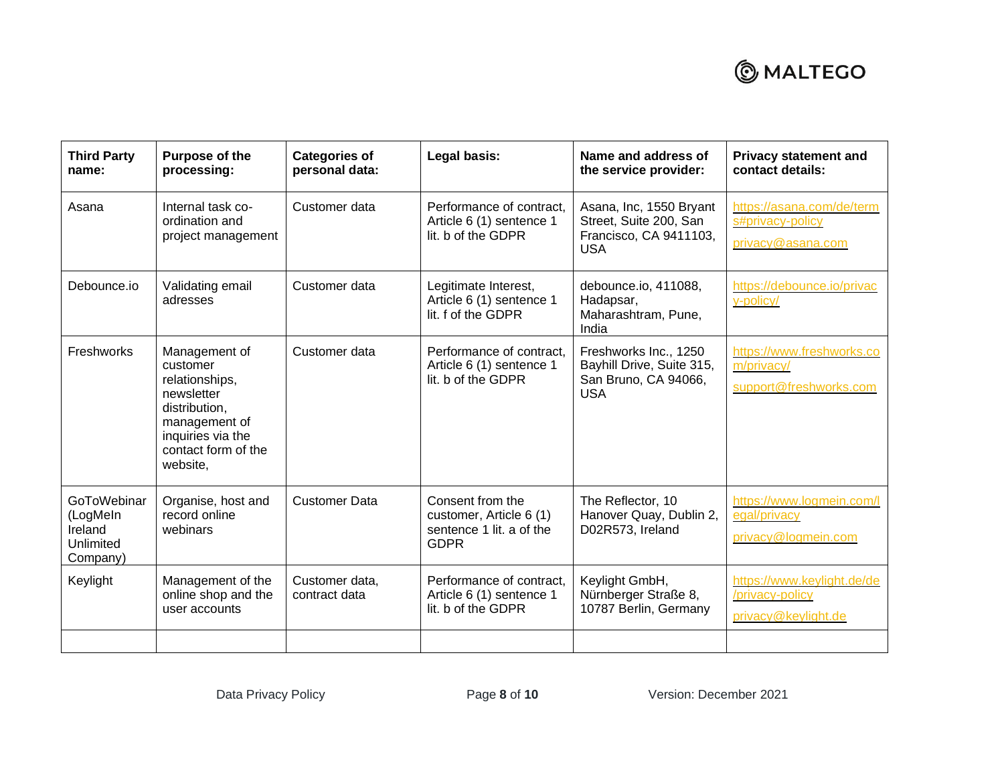## **@MALTEGO**

| <b>Third Party</b><br>name:                                 | Purpose of the<br>processing:                                                                                                                       | <b>Categories of</b><br>personal data: | Legal basis:                                                                           | Name and address of<br>the service provider:                                              | <b>Privacy statement and</b><br>contact details:                     |
|-------------------------------------------------------------|-----------------------------------------------------------------------------------------------------------------------------------------------------|----------------------------------------|----------------------------------------------------------------------------------------|-------------------------------------------------------------------------------------------|----------------------------------------------------------------------|
| Asana                                                       | Internal task co-<br>ordination and<br>project management                                                                                           | Customer data                          | Performance of contract,<br>Article 6 (1) sentence 1<br>lit, b of the GDPR             | Asana, Inc, 1550 Bryant<br>Street, Suite 200, San<br>Francisco, CA 9411103,<br><b>USA</b> | https://asana.com/de/term<br>s#privacy-policy<br>privacy@asana.com   |
| Debounce.io                                                 | Validating email<br>adresses                                                                                                                        | Customer data                          | Legitimate Interest,<br>Article 6 (1) sentence 1<br>lit, f of the GDPR                 | debounce.io, 411088,<br>Hadapsar,<br>Maharashtram, Pune,<br>India                         | https://debounce.io/privac<br>y-policy/                              |
| Freshworks                                                  | Management of<br>customer<br>relationships,<br>newsletter<br>distribution,<br>management of<br>inquiries via the<br>contact form of the<br>website, | Customer data                          | Performance of contract.<br>Article 6 (1) sentence 1<br>lit. b of the GDPR             | Freshworks Inc., 1250<br>Bayhill Drive, Suite 315,<br>San Bruno, CA 94066,<br><b>USA</b>  | https://www.freshworks.co<br>m/privacy/<br>support@freshworks.com    |
| GoToWebinar<br>(LogMeln<br>Ireland<br>Unlimited<br>Company) | Organise, host and<br>record online<br>webinars                                                                                                     | <b>Customer Data</b>                   | Consent from the<br>customer, Article 6 (1)<br>sentence 1 lit. a of the<br><b>GDPR</b> | The Reflector, 10<br>Hanover Quay, Dublin 2,<br>D02R573, Ireland                          | https://www.logmein.com/l<br>egal/privacy<br>privacy@logmein.com     |
| Keylight                                                    | Management of the<br>online shop and the<br>user accounts                                                                                           | Customer data,<br>contract data        | Performance of contract.<br>Article 6 (1) sentence 1<br>lit. b of the GDPR             | Keylight GmbH,<br>Nürnberger Straße 8,<br>10787 Berlin, Germany                           | https://www.keylight.de/de<br>/privacy-policy<br>privacy@keylight.de |
|                                                             |                                                                                                                                                     |                                        |                                                                                        |                                                                                           |                                                                      |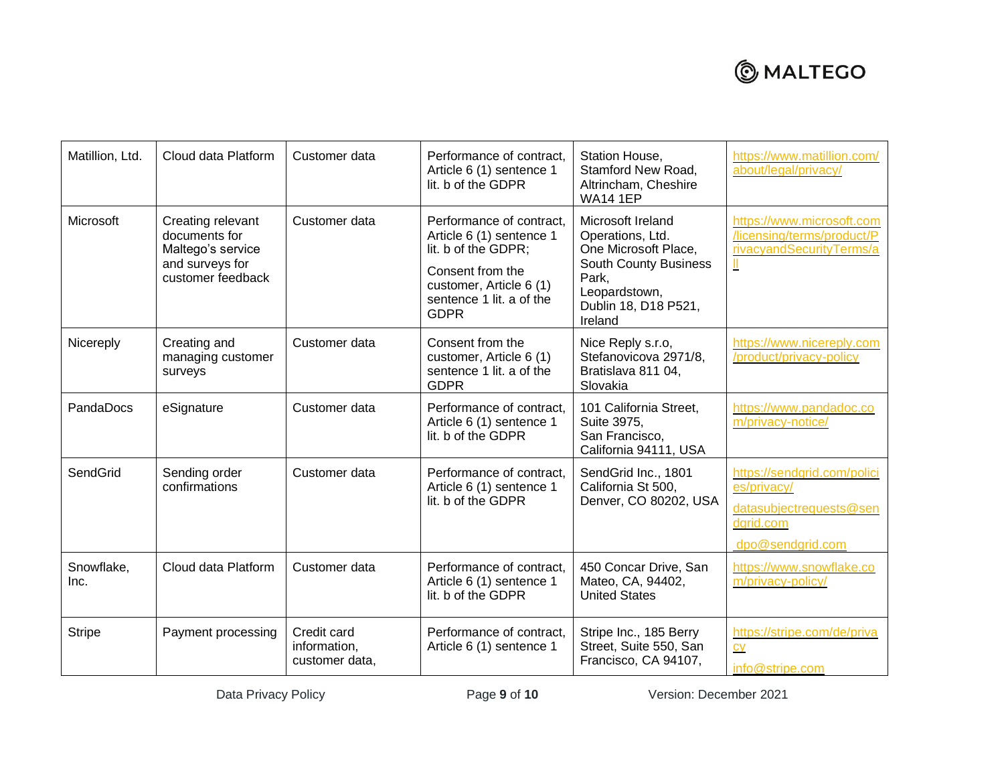# **@MALTEGO**

| Matillion, Ltd.    | Cloud data Platform                                                                             | Customer data                                 | Performance of contract,<br>Article 6 (1) sentence 1<br>lit. b of the GDPR                                                                                            | Station House,<br>Stamford New Road,<br>Altrincham, Cheshire<br><b>WA14 1EP</b>                                                                            | https://www.matillion.com/<br>about/legal/privacy/                                                     |
|--------------------|-------------------------------------------------------------------------------------------------|-----------------------------------------------|-----------------------------------------------------------------------------------------------------------------------------------------------------------------------|------------------------------------------------------------------------------------------------------------------------------------------------------------|--------------------------------------------------------------------------------------------------------|
| Microsoft          | Creating relevant<br>documents for<br>Maltego's service<br>and surveys for<br>customer feedback | Customer data                                 | Performance of contract,<br>Article 6 (1) sentence 1<br>lit. b of the GDPR;<br>Consent from the<br>customer, Article 6 (1)<br>sentence 1 lit, a of the<br><b>GDPR</b> | Microsoft Ireland<br>Operations, Ltd.<br>One Microsoft Place,<br><b>South County Business</b><br>Park,<br>Leopardstown,<br>Dublin 18, D18 P521,<br>Ireland | https://www.microsoft.com<br>/licensing/terms/product/P<br>rivacyandSecurityTerms/a                    |
| Nicereply          | Creating and<br>managing customer<br>surveys                                                    | Customer data                                 | Consent from the<br>customer, Article 6 (1)<br>sentence 1 lit. a of the<br><b>GDPR</b>                                                                                | Nice Reply s.r.o,<br>Stefanovicova 2971/8,<br>Bratislava 811 04,<br>Slovakia                                                                               | https://www.nicereply.com<br>/product/privacy-policy                                                   |
| PandaDocs          | eSignature                                                                                      | Customer data                                 | Performance of contract.<br>Article 6 (1) sentence 1<br>lit. b of the GDPR                                                                                            | 101 California Street,<br>Suite 3975,<br>San Francisco,<br>California 94111, USA                                                                           | https://www.pandadoc.co<br>m/privacy-notice/                                                           |
| SendGrid           | Sending order<br>confirmations                                                                  | Customer data                                 | Performance of contract,<br>Article 6 (1) sentence 1<br>lit. b of the GDPR                                                                                            | SendGrid Inc., 1801<br>California St 500,<br>Denver, CO 80202, USA                                                                                         | https://sendgrid.com/polici<br>es/privacy/<br>datasubjectrequests@sen<br>dgrid.com<br>dpo@sendgrid.com |
| Snowflake,<br>Inc. | Cloud data Platform                                                                             | Customer data                                 | Performance of contract,<br>Article 6 (1) sentence 1<br>lit. b of the GDPR                                                                                            | 450 Concar Drive, San<br>Mateo, CA, 94402,<br><b>United States</b>                                                                                         | https://www.snowflake.co<br>m/privacy-policy/                                                          |
| <b>Stripe</b>      | Payment processing                                                                              | Credit card<br>information,<br>customer data, | Performance of contract,<br>Article 6 (1) sentence 1                                                                                                                  | Stripe Inc., 185 Berry<br>Street, Suite 550, San<br>Francisco, CA 94107,                                                                                   | https://stripe.com/de/priva<br>cy<br>info@stripe.com                                                   |

Data Privacy Policy **Page 9 of 10** Version: December 2021